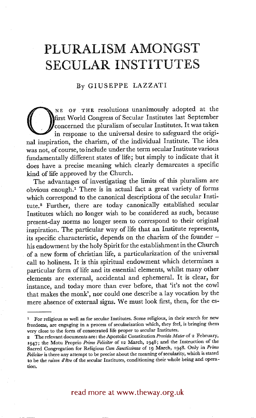## **PLURALISM AMONGST SECULAR INSTITUTES**

## By GIUSEPPE LAZZATI

NE OF THE resolutions unanimously adopted at the<br> **O** first World Congress of Secular Institutes last September<br>
in response to the universal desire to safeguard the origi-<br>
and inspiration, the charism of the individual I first World Congress of Secular Institutes last September concerned the pluralism of secular Institutes. It was taken in response to the universal desire to safeguard the original inspiration, the charism, of the individual Institute. The idea was not, of course, to include under the term secular Institute various fundamentally different states of life; but simply to indicate that it does have a precise meaning which clearly demarcates a specific kind of life approved by the Church.

The advantages of investigating the limits of this pluralism are obvious enough? There is in actual fact a great variety of forms which correspond to the canonical descriptions of the secular Institute.<sup>2</sup> Further, there are today canonically established secular Institutes which no longer wish to be considered as such, because present-day norms no longer seem to correspond to their original inspiration. The particular way of life that an Institute represents, its specific characteristic, depends on the charism of the founder his endowment by the holy Spirit for the establishment in the Church of a new form of christian life, a particularization of the universal call to holiness. It is this spiritual endowment which determines a particular form of life and its essential elements, whilst many other elements are external, accidental and ephemeral. It is clear, for instance, and today more than ever before, that 'it's not the cowl that makes the monk', nor could one describe a lay vocation by the mere absence of external signs. We must look first, then, for the es-

<sup>1</sup> For religious as well as for secular Institutes. Some religious, in their search for new freedoms, are engaging in a process of secularization which, they feel, is bringing them very close to the form of consecrated life proper to secular Institutes.

<sup>2</sup> The relevant documents are: the Apostolic Constitution *Provida Mater* of 2 February, 1947; the Motu Proprio *Primo Feliciter* of i2 March, I948; and the Instruction of the Sacred Congregation for Religious *Gum Sanctissimus* of 19 March, 1948. Only in *Primo*  Feliciter is there any attempt to be precise about the meaning of secularity, which is stated to be the *raison d'Stre* of the secular Institutes, conditioning their whole being and operation.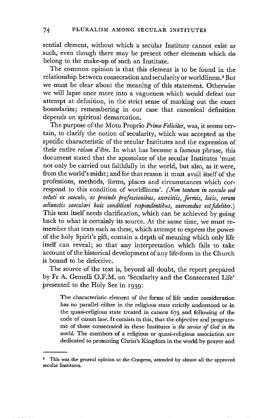sential element, without which a secular Institute cannot exist as such, even though there may be present other elements which do belong to the make-up of such an Institute.

The common opinion is that this element is to be found in the relationship between consecration and secularity or worldliness.<sup>3</sup> But we must be clear about the meaning of this statement. Otherwise we will lapse once more into a vagueness which would defeat our attempt at definition, in the strict sense of marking out the exact boundaries; remembering in our case that canonical definition depends on spiritual demarcation.

The purpose of the Motu Proprio *Primo Fdidter,* was, it seems certain, to clarify the notion of secularity, which was accepted as the specific characteristic of the secular Institutes and the expression of their entire *raison d'gtre.* In what has become a famous phrase, this document stated that the apostolate of the secular Institutes 'must not only be carried out faithfully in the world, but also, as it were, from the world's midst; and for that reason it must avail itself of the professions, methods, forms, places and circumstances which correspond to this condition of worldliness'. *(Won tantum in saeculo sed veluti ex saeculo, ac proinde professionibus, exercitiis, formis, locis, return*  adiunctis saeculari huic conditioni respondentibus, exercendus est fideliter.) This text itself needs clarification, which can be achieved by going back to what is certainly its source. At the same time, we must remember that texts such as these, which attempt to express the power of the holy Spirit's gift, contain a depth of meaning which only life itself can reveal; so that any interpretation which fails to take account of the historical development of any life-form in the Church is bound to be defective.

The source of the text is, beyond all doubt, the report prepared by Fr A. Gemelli O.F.M. on 'Secularity and the Consecrated Life' presented to the Holy See in I939:

The characteristic element of the forms of life under **consideration**  has no parallel either in the religious state strictly understood **or in**  the quasi-religious state treated in canons 673 and following of the code of canon law. It consists in this, that the objective and programme of those consecrated in these Institutes is *the service of God in the world.* The members of a religious or quasi-religious association are dedicated to promoting Christ's Kingdom in the world by prayer and

**<sup>&</sup>quot; This was the general opinion at the Congress, attended by almost all the approved secular Institutes.**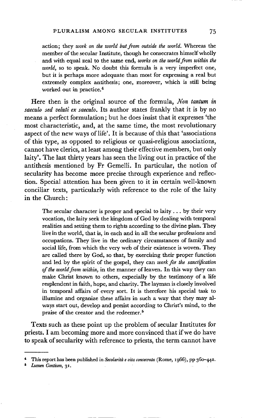action; they *work on the world but from outside the world.* Whereas the member of the secular Institute, though he consecrates himself wholly and with equal zeal to the same end, *works on the world from within the world,* so to speak. No doubt this formula is a very imperfect one, but it is perhaps more adequate than most for expressing a real but extremely complex antithesis; one, moreover, which is still being worked out in practice.<sup>4</sup>

Here then is the original source of the formula, *Non tantum in saeculo sed veluti ex saeculo.* Its author states frankly that it is by no means a perfect formulation; but he does insist that it expresses 'the most characteristic, and, at the same time, the most revolutionary aspect of the new ways of life'. It is because of this that 'associations of this type, as opposed to religious or quasi-religious associations, cannot have clerics, at least among their effective members, but only laity'. The last thirty years has seen the living out in practice of the antithesis mentioned by Fr Gemelli. In particular, the notion of secularity has become more precise through experience and reflection. Special attention has been given to it in certain well-known conciliar texts, particularly with reference to the role of the laity in the Church:

The secular character is proper and special to laity.., by their very vocation, the laity seek the kingdom of God by dealing with temporal realities and setting them to rights according to the divine plan. They livein the world, that is, in each and in all the secular professions and occupations. They live in the ordinary circumstances of family and social life, from which the very web of their existence is woven. They are called there by God, so that, by exercising their proper function and led by the spirit of the gospel, they can *work for the sanctification of the world from within,* in the manner of leaven. In this way they can make Christ known to others, expecially by the testimony of a life resplendent in faith, hope, and charity. The layman is closely involved in temporal affairs of every sort. It is therefore his special task to illumine and organize these affairs in such a way that they may always start out, develop and persist according to Christ's mind, to the praise of the creator and the redeemer. 5

Texts such as these point up the problem of secular Institutes for priests. I am becoming more and more convinced that if we do have to speak of secularity with reference to priests, the term cannot have

*6 Lumen Gentium, 3I.* 

This report has been published in *Secolarità e vita consecrata* (Rome, 1966), pp 36o-442.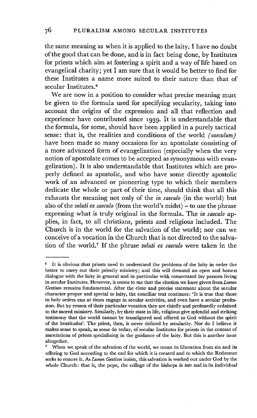the same meaning as when it is applied to the laity. I have no doubt of the good that can be done, and is in fact being done, by Institutes for priests which aim at fostering a spirit and a way of life based on evangelical charity; yet I am sure that it would be better to find for these Institutes a name more suited to their nature than that of secular Institutes. 6

We are now in a position to consider what precise meaning must be given to the formula used for specifying secularity, taking into account the origins of the expression and all that reflection and experience have contributed since i939. It is understandable that the formula, for some, should have been applied in a purely tactical sense: that is, the realities and conditions of the world *(saeculum)*  have been made so many occasions for an apostolate consisting of a more advanced form of evangelization (especially when the very notion of apostolate comes to be accepted as synonymous with evangelization). It is also understandable that Institutes which are properly defined as apostolic, and who have some directly apostolic work of an advanced or pioneering type to which their members dedicate the whole or part of their time, should think that all this exhausts the meaning not only of the *in saeculo* (in the world) but also of the *veluti ex saeculo* (from the world's midst) - to use the phrase expressing what is truly original in the formula. The *in saeculo* applies, in fact, to all christians, priests and religious included. The Church is in the world for the salvation of the world; nor can we conceive of a vocation in the Church that is not directed to the salvation of the world.<sup>7</sup> If the phrase *veluti ex saeculo* were taken in the

<sup>&</sup>lt;sup>6</sup> It is obvious that priests need to understand the problems of the laity in order the better to carry out their priestly ministry; and this will demand an open and honest dialogue with the laity in general and in particular with consecrated lay persons living in secular Institutes. However, it seems to me that the citation we have given from *Lumen Gentium* remains fundamental. After the clear and precise statement about the secular character proper and special to laity, the conciliar text continues: 'It is true that those in holy orders can at times engage in secular activities, and even have a secular profession. But by reason of their particular vocation they are chiefly and professedly ordained to the sacred ministry. Similarly, by their state in llfe, religious give splendid and striking testimony that the world cannot be transfigured and offered to God without the spirit of the beatitudes'. The priest, then, is never defined by secularity. Nor do I believe it makes sense to speak, as some do today, of secular Institutes for priests in the context of associations of priests specializing in the guidance of the laity. But this is another issue altogether.

When we speak of the salvation of the world, we mean its liberation from sin and its offering to God according to the end for which it is created and tb which the Redeemer seeks to restore it. As *Lumen Gentium* insists, this salvation is worked out under God by the whole Church: that is, the pope, the college of the bishops *in toto* and in its individual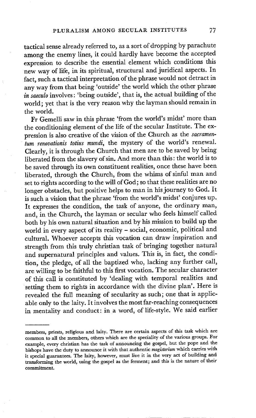tactical sense already referred to, as a sort of dropping by parachute among the enemy lines, it could hardly have become the accepted expression to describe the essential element which conditions this new way of life, in its spiritual, structural and juridical aspects. In fact, such a tactical interpretation of the phrase would not detract in any way from that being 'outside' the world which the other phrase *in saeculo* involves: 'being outside', that is, the actual building of the world; yet that is the very reason why the layman should remain in the world.

Fr Gemelli saw in this phrase 'from the world's midst' more than the conditioning element of the life of the secular Institute. The expression is also creative of the vision of the Church as the *sacramenturn renovationis totius mundi,* the mystery of the world's renewal. Clearly, it is through the Church that men are to be saved by being liberated from the slavery of sin. And more than this: the world is to be saved through its own constituent realities, once these have been liberated, through the Church, from the whims of sinful man and set to rights according to the will of God; so that these realities are no longer obstacles, but positive helps to man in his journey to God. It is such a vision that the phrase 'from the world's midst' conjures up. It expresses the condition, the task of anyone, the ordinary man, and, in the Church, the layman or secular who feels himself called both by his own natural situation and by his mission to build up the world in every aspect of its reality - social, economic, political and cultural. Whoever accepts this vocation can draw inspiration and strength from this truly christian task of bringing together natural and supernatural principles and values. This is, in fact, the condition, the pledge, of all the baptized who, lacking any further call, are willing to be faithful to this first vocation. The secular character of this call is constituted by 'dealing with temporal realities and setting them to rights in accordance with the divine plan'. Here is revealed the full meaning of secularity as such; one that is applicable only to the laity. It involves the most far-reaching consequences in mentality and conduct: in a word, of life-style. We said earlier

members, priests, religious and laity. There are certain aspects of this task which are common **to all** the members, others which are the speciality of the various groups. For example, every christian has the task of announcing the gospel, but the pope and the **bishops** have the duty to announce it with that authentic *magistedum* which carries with it special guarantees. The laity, however, must live it in the very act of building and transforming the world, using the gospel as the ferment; and this is the nature of their commitment.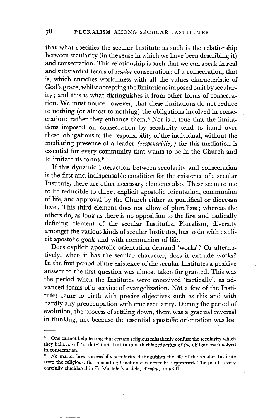that what specifies the secular Institute as such is the relationship between secularity (in the sense in which we have been describing it) and consecration. This relationship is such that we can speak in real and substantial terms of *secular* consecration: of a consecration, that is, which enriches worldliness with all the values characteristic of God's grace, whilst accepting the limitations imposed on it by secularity; and this is what distinguishes it from other forms of consecration. We must notice however, that these limitations do not reduce to nothing (or almost to nothing) the obligations involved in consecration; rather they enhance them.<sup>8</sup> Nor is it true that the limitations imposed on consecration by sccularity tend to hand over these obligations to the responsibility of the individual, without the mediating presence of a leader *(responsabile);* for this mediation is essential for every community that wants to be in the Church and to imitate its forms.<sup>9</sup>

If this dynamic interaction between secularity and consecration is the first and indispensable condition for the existence of a secular Institute, there are other necessary elements also. These seem to me to be reducible to three: explicit apostolic orientation, communion of life, and approval by the Church either at pontifical or diocesan level. This third element does not allow of pluralism; whereas the others do, as long as there is no opposition to the first and radically defining element of the secular Institutes. Pluralism, diversity amongst the various kinds of secular Institutes, has to do with explicit apostolic goals and with communion of life.

Does explicit apostolic orientation demand 'works'? Or alternatively, when it has the secular character, does it exclude works? In the first period of the existence of the secular Institutes a positive answer to the first question was almost taken for granted. This was the period when the Institutes were conceived 'tactically', as advanced forms of a service of evangelization. Not a few of the Institutes came to birth with precise objectives such as this and with hardly any preoccupation with true secularity. During the period of evolution, the process of settling down, there was a gradual reversal in thinking, not because the essential apostolic orientation was lost

One cannot help feeling that certain religious mistakenly confuse the secularity which they believe will 'update' their Institutes with this reduction of the obligations involved in consecration.

<sup>&</sup>lt;sup>9</sup> No matter how successfully secularity distinguishes the life of the secular Institute from the religious, this mediating function can never be suppressed. The point is very carefully elucidated in Fr Martelet's article, cf supra, pp 58 ff.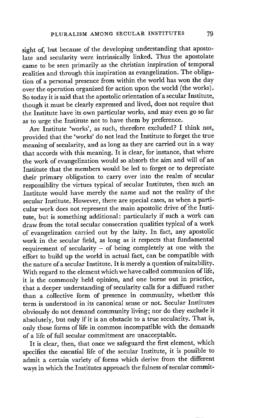sight of, but because of the developing understanding that apostolate and secularity were intrinsically linked. Thus the apostolate came to be seen primarily as the christian inspiration of temporal realities and through this inspiration as evangelization. The obligation of a personal presence from within the world has won the day over the operation organized for action upon the world (the works). So today it is said that the apostolic orientation of a secular Institute, though it must be clearly expressed and lived, does not require that the Institute have its own particular works, and may even go so far as to urge the Institute not to have them by preference.

Are Institute 'works', as such, therefore excluded? I think not, provided that the 'works' do not lead the Institute to forget the true meaning of secularity, and as long as they are carried out in a way that accords with this meaning. It is clear, for instance, that where the work of evangelization would so absorb the aim and will of an Institute that the members would be led to forget or to depreciate their primary obligation to carry over into the realm of secular responsiblity the virtues typical of secular Institutes, then such an Institute would have merely the name and not the reality of the secular Institute. However, there are special cases, as when a particular work does not represent the main apostolic drive of the Institute, but is something additional: particularly if such a work can draw from the total secular consecration qualities typical of a work of evangelization carried out by the laity. In fact, any apostolic work in the secular field, as long as it respects that fundamental requirement of secularity - of being completely at one with the effort to build up the world in actual fact, can be compatible with the nature of a secular Institute. It is merely a question of suitability. With regard to the element which we have called communion of life, it is the commonly held opinion, and one borne out in practice, that a deeper understanding of secularity calls for a diffused rather than a collective form of presence in community, whether this term is understood in its canonical sense or not. Secular Institutes obviously do not demand community living; nor do they exclude it absolutely, but only if it is an obstacle to a true secularity. That is, only those forms of life in common incompatible with the demands of a life of full secular commitment are unacceptable.

It is clear, then, that once we safeguard the first element, which specifies the essential life of the secular Institute, it is possible to admit a certain variety of forms which derive from the different ways in which the Institutes approach the fulness of secular commit